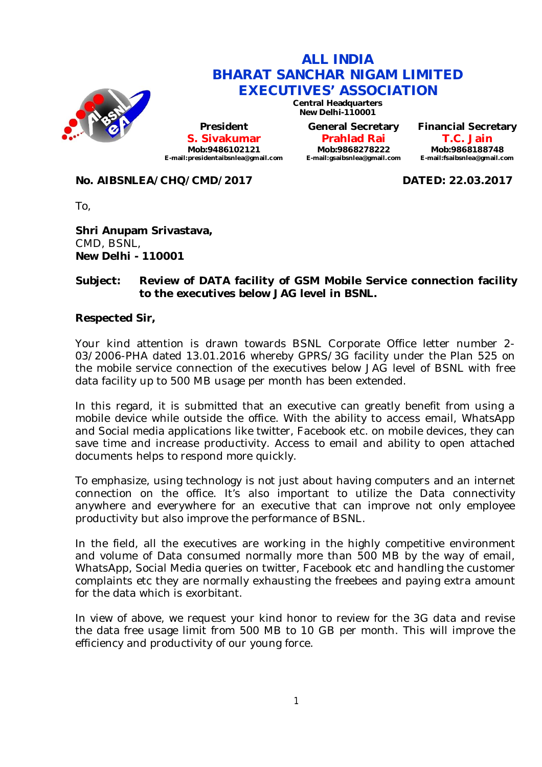

# **ALL INDIA BHARAT SANCHAR NIGAM LIMITED EXECUTIVES' ASSOCIATION**

**Central Headquarters New Delhi-110001**

**President S. Sivakumar Mob:9486102121 E-mail:presidentaibsnlea@gmail.com**

**General Secretary Prahlad Rai Mob:9868278222 E-mail:gsaibsnlea@gmail.com** **Financial Secretary T.C. Jain Mob:9868188748 E-mail:fsaibsnlea@gmail.com**

# **No. AIBSNLEA/CHQ/CMD/2017 DATED: 22.03.2017**

To,

**Shri Anupam Srivastava,** CMD, BSNL, **New Delhi - 110001**

# **Subject: Review of DATA facility of GSM Mobile Service connection facility to the executives below JAG level in BSNL.**

### **Respected Sir,**

Your kind attention is drawn towards BSNL Corporate Office letter number 2- 03/2006-PHA dated 13.01.2016 whereby GPRS/3G facility under the Plan 525 on the mobile service connection of the executives below JAG level of BSNL with free data facility up to 500 MB usage per month has been extended.

In this regard, it is submitted that an executive can greatly benefit from using a mobile device while outside the office. With the ability to access email, WhatsApp and Social media applications like twitter, Facebook etc. on mobile devices, they can save time and increase productivity. Access to email and ability to open attached documents helps to respond more quickly.

To emphasize, using technology is not just about having computers and an internet connection on the office. It's also important to utilize the Data connectivity anywhere and everywhere for an executive that can improve not only employee productivity but also improve the performance of BSNL.

In the field, all the executives are working in the highly competitive environment and volume of Data consumed normally more than 500 MB by the way of email, WhatsApp, Social Media queries on twitter, Facebook etc and handling the customer complaints etc they are normally exhausting the freebees and paying extra amount for the data which is exorbitant.

In view of above, we request your kind honor to review for the 3G data and revise the data free usage limit from 500 MB to 10 GB per month. This will improve the efficiency and productivity of our young force.